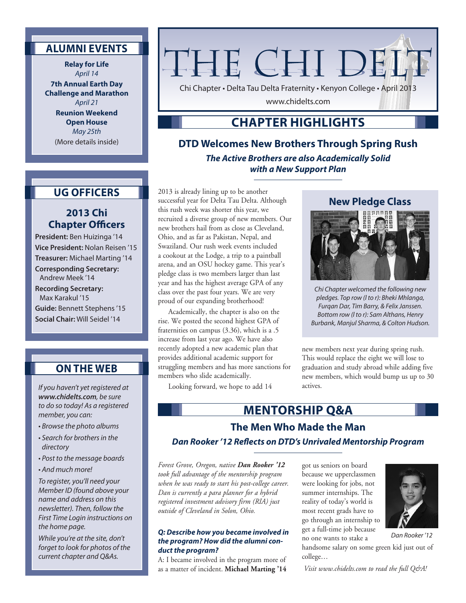## **ALUMNI EVENTS**

**Relay for Life** *April 14*

**7th Annual Earth Day Challenge and Marathon** *April 21*

**Reunion Weekend Open House** *May 25th* (More details inside)

# THE CHI DEL'

Chi Chapter • Delta Tau Delta Fraternity • Kenyon College • April 2013

www.chidelts.com

## **CHAPTER HIGHLIGHTS**

**DTD Welcomes New Brothers Through Spring Rush** *The Active Brothers are also Academically Solid with a New Support Plan*

## **UG OFFICERS**

## **2013 Chi Chapter Officers**

**President:** Ben Huizinga '14 **Vice President:** Nolan Reisen '15 **Treasurer:** Michael Marting '14 **Corresponding Secretary:** Andrew Meek '14 **Recording Secretary:** Max Karakul '15 **Guide:** Bennett Stephens '15 **Social Chair:** Will Seidel '14

## **ON THE WEB**

*If you haven't yet registered at www.chidelts.com, be sure to do so today! As a registered member, you can:*

- *Browse the photo albums*
- *Search for brothers in the directory*
- *Post to the message boards*
- *And much more!*

*To register, you'll need your Member ID (found above your name and address on this newsletter). Then, follow the First Time Login instructions on the home page.*

*While you're at the site, don't forget to look for photos of the current chapter and Q&As.*

2013 is already lining up to be another successful year for Delta Tau Delta. Although this rush week was shorter this year, we recruited a diverse group of new members. Our new brothers hail from as close as Cleveland, Ohio, and as far as Pakistan, Nepal, and Swaziland. Our rush week events included a cookout at the Lodge, a trip to a paintball arena, and an OSU hockey game. This year's pledge class is two members larger than last year and has the highest average GPA of any class over the past four years. We are very proud of our expanding brotherhood!

Academically, the chapter is also on the rise. We posted the second highest GPA of fraternities on campus (3.36), which is a .5 increase from last year ago. We have also recently adopted a new academic plan that provides additional academic support for struggling members and has more sanctions for members who slide academically.

Looking forward, we hope to add 14

## **New Pledge Class**



*Chi Chapter welcomed the following new pledges. Top row (l to r): Bheki Mhlanga, Furqan Dar, Tim Barry, & Felix Janssen. Bottom row (l to r): Sam Althans, Henry Burbank, Manjul Sharma, & Colton Hudson.*

new members next year during spring rush. This would replace the eight we will lose to graduation and study abroad while adding five new members, which would bump us up to 30 actives.

# **MENTORSHIP Q&A**

# **The Men Who Made the Man**

#### *Dan Rooker '12 Reflects on DTD's Unrivaled Mentorship Program*

*Forest Grove, Oregon, native Dan Rooker '12 took full advantage of the mentorship program when he was ready to start his post-college career. Dan is currently a para planner for a hybrid registered investment advisory firm (RIA) just outside of Cleveland in Solon, Ohio.*

#### *Q: Describe how you became involved in the program? How did the alumni conduct the program?*

A: I became involved in the program more of as a matter of incident. **Michael Marting '14** got us seniors on board because we upperclassmen were looking for jobs, not summer internships. The reality of today's world is most recent grads have to go through an internship to get a full-time job because no one wants to stake a

handsome salary on some green kid just out of college…

*Visit www.chidelts.com to read the full Q&A!* 

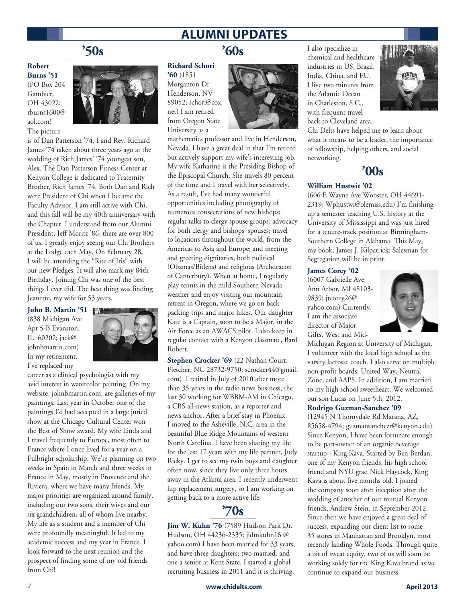# **ALUMNI UPDATES**

# **'50s**

**Robert Burns '51**

(PO Box 204 Gambier, OH 43022; rburns1600@ aol.com) The picture



is of Dan Patterson '74, I and Rev. Richard James '74 taken about three years ago at the wedding of Rich James' '74 youngest son, Alex. The Dan Patterson Fitness Center at Kenyon College is dedicated to Fraternity Brother, Rich James '74. Both Dan and Rich were President of Chi when I became the Faculty Advisor. I am still active with Chi, and this fall will be my 40th anniversary with the Chapter. I understand from our Alumni President, Jeff Moritz '86, there are over 800 of us. I greatly enjoy seeing our Chi Brothers at the Lodge each May. On February 28, I will be attending the "Rite of Iris" with our new Pledges. It will also mark my 84th Birthday. Joining Chi was one of the best things I ever did. The best thing was finding Jeanette, my wife for 53 years.

**John B. Martin '51** (838 Michigan Ave Apt 5-B Evanston, IL 60202; jack@ johnbmartin.com) In my retirement, I've replaced my



career as a clinical psychologist with my avid interest in watercolor painting. On my website, johnbmartin.com, are galleries of my paintings. Last year in October one of the paintings I'd had accepted in a large juried show at the Chicago Cultural Center won the Best of Show award. My wife Linda and I travel frequently to Europe, most often to France where I once lived for a year on a Fulbright scholarship. We're planning on two weeks in Spain in March and three weeks in France in May, mostly in Provence and the Riviera, where we have many friends. My major priorities are organized around family, including our two sons, their wives and our six grandchildren, all of whom live nearby. My life as a student and a member of Chi were profoundly meaningful. It led to my academic success and my year in France. I look forward to the next reunion and the prospect of finding some of my old friends from Chi!

# **'60s**

**Richard Schori '60** (1851 Morganton Dr Henderson, NV 89052; schori@cox. net) I am retired from Oregon State University as a



mathematics professor and live in Henderson, Nevada. I have a great deal in that I'm retired but actively support my wife's interesting job. My wife Katharine is the Presiding Bishop of the Episcopal Church. She travels 80 percent of the time and I travel with her selectively. As a result, I've had many wonderful opportunities including photography of numerous consecrations of new bishops; regular talks to clergy spouse groups; advocacy for both clergy and bishops' spouses; travel to locations throughout the world, from the Americas to Asia and Europe; and meeting and greeting dignitaries, both political (Obamas/Bidens) and religious (Archdeacon of Canterbury). When at home, I regularly play tennis in the mild Southern Nevada weather and enjoy visiting our mountain retreat in Oregon, where we go on back packing trips and major hikes. Our daughter Kate is a Captain, soon to be a Major, in the Air Force as an AWACS pilot. I also keep in regular contact with a Kenyon classmate, Bard Robert.

**Stephen Crocker '69** (22 Nathan Court, Fletcher, NC 28732-9750; scrocker44@gmail. com) I retired in July of 2010 after more than 35 years in the radio news business, the last 30 working for WBBM-AM in Chicago, a CBS all-news station, as a reporter and news anchor. After a brief stay in Phoenix, I moved to the Asheville, N.C. area in the beautiful Blue Ridge Mountains of western North Carolina. I have been sharing my life for the last 17 years with my life partner, Judy Ricky. I get to see my twin boys and daughter often now, since they live only three hours away in the Atlanta area. I recently underwent hip replacement surgery, so I am working on getting back to a more active life.



**Jim W. Kuhn '76** (7589 Hudson Park Dr. Hudson, OH 44236-2335; jidmkuhn16 @ yahoo.com) I have been married for 33 years, and have three daughters; two married, and one a senior at Kent State. I started a global recruiting business in 2011 and it is thriving.

I also specialize in chemical and healthcare industries in US, Brazil, India, China, and EU. I live two minutes from the Atlantic Ocean in Charleston, S.C., with frequent travel back to Cleveland area.



Chi Delts have helped me to learn about what it means to be a leader, the importance of fellowship, helping others, and social networking.

## **'00s**

#### **William Hustwit '02**

(606 E Wayne Ave Wooster, OH 44691- 2319; Wphustwi@olemiss.edu) I'm finishing up a semester teaching U.S. history at the University of Mississippi and was just hired for a tenure-track position at Birmingham-Southern College in Alabama. This May, my book, James J. Kilpatrick: Salesman for Segregation will be in print.

#### **James Corey '02**

(6007 Gabrielle Ave Ann Arbor, MI 48103- 9839; jtcorey26@ yahoo.com) Currently, I am the associate director of Major Gifts, West and Mid-



Michigan Region at University of Michigan. I volunteer with the local high school as the varsity lacrosse coach. I also serve on multiple non-profit boards: United Way, Neutral Zone, and AAPS. In addition, I am married to my high school sweetheart. We welcomed our son Lucas on June 5th, 2012.

#### **Rodrigo Guzman-Sanchez '09**

(12945 N Thornydale Rd Marana, AZ, 85658-4794; guzmansanchezr@kenyon.edu) Since Kenyon, I have been fortunate enough to be part-owner of an organic beverage startup - King Kava. Started by Ben Berdan, one of my Kenyon friends, his high school friend and NYU grad Nick Haycock, King Kava is about five months old. I joined the company soon after inception after the wedding of another of our mutual Kenyon friends, Andrew Stein, in September 2012. Since then we have enjoyed a great deal of success, expanding our client list to some 35 stores in Manhattan and Brooklyn, most recently landing Whole Foods. Through quite a bit of sweat equity, two of us will soon be working solely for the King Kava brand as we continue to expand our business.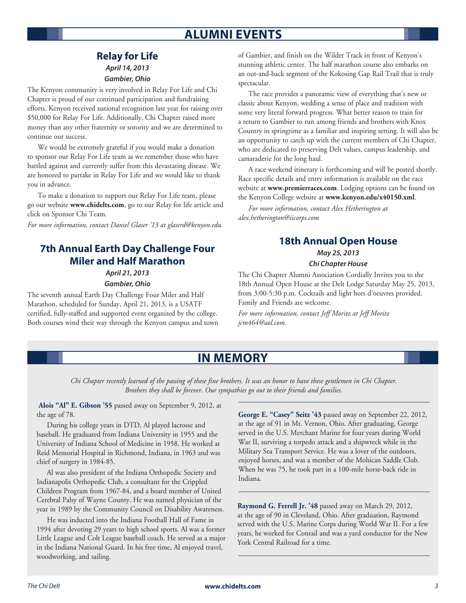# **ALUMNI EVENTS**

#### **Relay for Life** *April 14, 2013*

*Gambier, Ohio*

The Kenyon community is very involved in Relay For Life and Chi Chapter is proud of our continued participation and fundraising efforts. Kenyon received national recognition last year for raising over \$50,000 for Relay For Life. Additionally, Chi Chapter raised more money than any other fraternity or sorority and we are determined to continue our success.

We would be extremely grateful if you would make a donation to sponsor our Relay For Life team as we remember those who have battled against and currently suffer from this devastating disease. We are honored to partake in Relay For Life and we would like to thank you in advance.

To make a donation to support our Relay For Life team, please go our website **www.chidelts.com**, go to our Relay for life article and click on Sponsor Chi Team.

*For more information, contact Daniel Glaser '13 at glaserd@kenyon.edu.*

## **7th Annual Earth Day Challenge Four Miler and Half Marathon**

*April 21, 2013 Gambier, Ohio*

The seventh annual Earth Day Challenge Four Miler and Half Marathon, scheduled for Sunday, April 21, 2013, is a USATF certified, fully-staffed and supported event organized by the college. Both courses wind their way through the Kenyon campus and town of Gambier, and finish on the Wilder Track in front of Kenyon's stunning athletic center. The half marathon course also embarks on an out-and-back segment of the Kokosing Gap Rail Trail that is truly spectacular.

The race provides a panoramic view of everything that's new or classic about Kenyon, wedding a sense of place and tradition with some very literal forward progress. What better reason to train for a return to Gambier to run among friends and brothers with Knox Country in springtime as a familiar and inspiring setting. It will also be an opportunity to catch up with the current members of Chi Chapter, who are dedicated to preserving Delt values, campus leadership, and camaraderie for the long haul.

A race weekend itinerary is forthcoming and will be posted shortly. Race specific details and entry information is available on the race website at **www.premierraces.com**. Lodging options can be found on the Kenyon College website at **www.kenyon.edu/x40150.xml**.

*For more information, contact Alex Hetherington at alex.hetherington@iicorps.com*

## **18th Annual Open House**

# *May 25, 2013*

## *Chi Chapter House*

The Chi Chapter Alumni Association Cordially Invites you to the 18th Annual Open House at the Delt Lodge Saturday May 25, 2013, from 3:00-5:30 p.m. Cocktails and light hors d'oeuvres provided. Family and Friends are welcome.

*For more information, contact Jeff Moritz at Jeff Moritz jcm464@aol.com.*

## **IN MEMORY**

*Chi Chapter recently learned of the passing of these fine brothers. It was an honor to have these gentlemen in Chi Chapter. Brothers they shall be forever. Our sympathies go out to their friends and families.*

 **Alois "Al" E. Gibson '55** passed away on September 9, 2012, at the age of 78.

During his college years in DTD, Al played lacrosse and baseball. He graduated from Indiana University in 1955 and the University of Indiana School of Medicine in 1958. He worked at Reid Memorial Hospital in Richmond, Indiana, in 1963 and was chief of surgery in 1984-85.

Al was also president of the Indiana Orthopedic Society and Indianapolis Orthopedic Club, a consultant for the Crippled Children Program from 1967-84, and a board member of United Cerebral Palsy of Wayne County. He was named physician of the year in 1989 by the Community Council on Disability Awareness.

He was inducted into the Indiana Football Hall of Fame in 1994 after devoting 29 years to high school sports. Al was a former Little League and Colt League baseball coach. He served as a major in the Indiana National Guard. In his free time, Al enjoyed travel, woodworking, and sailing.

**George E. "Casey" Seitz '43** passed away on September 22, 2012, at the age of 91 in Mt. Vernon, Ohio. After graduating, George served in the U.S. Merchant Marine for four years during World War II, surviving a torpedo attack and a shipwreck while in the Military Sea Transport Service. He was a lover of the outdoors, enjoyed horses, and was a member of the Mohican Saddle Club. When he was 75, he took part in a 100-mile horse-back ride in Indiana.

**Raymond G. Ferrell Jr. '48** passed away on March 29, 2012, at the age of 90 in Cleveland, Ohio. After graduation, Raymond served with the U.S. Marine Corps during World War II. For a few years, he worked for Conrail and was a yard conductor for the New York Central Railroad for a time.